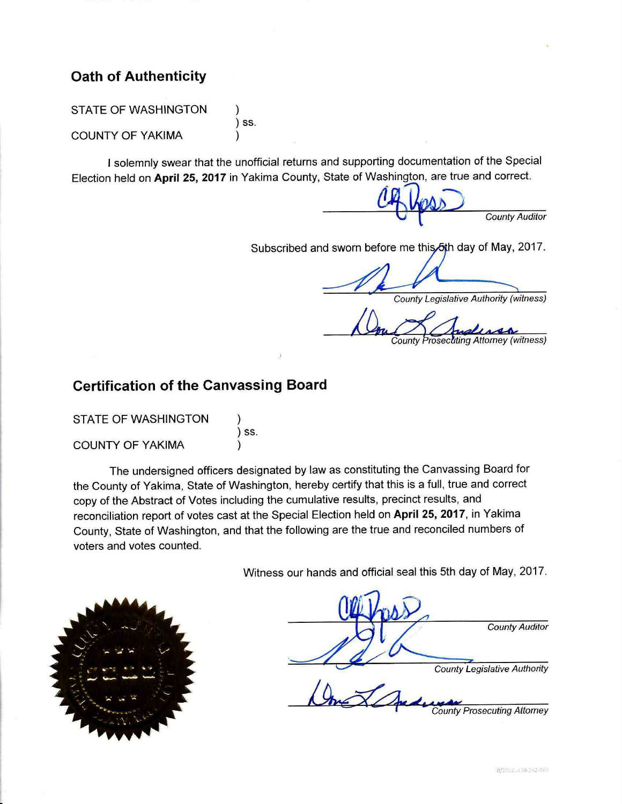## **Oath of Authenticity**

**STATE OF WASHINGTON** 

**COUNTY OF YAKIMA** 

I solemnly swear that the unofficial returns and supporting documentation of the Special Election held on April 25, 2017 in Yakima County, State of Washington, are true and correct.

) SS.

**County Auditor** 

Subscribed and sworn before me this 5th day of May, 2017.

**County Legislative Authority (witness)** 

Prosecuting Attorney (witness)

## **Certification of the Canvassing Board**

| <b>STATE OF WASHINGTON</b> |        |
|----------------------------|--------|
|                            | $)$ SS |
| <b>COUNTY OF YAKIMA</b>    |        |

The undersigned officers designated by law as constituting the Canvassing Board for the County of Yakima, State of Washington, hereby certify that this is a full, true and correct copy of the Abstract of Votes including the cumulative results, precinct results, and reconciliation report of votes cast at the Special Election held on April 25, 2017, in Yakima County, State of Washington, and that the following are the true and reconciled numbers of voters and votes counted.

Witness our hands and official seal this 5th day of May, 2017.



**County Auditor County Legislative Authority** 

**County Prosecuting Attomey** 

8/2012.434-262-070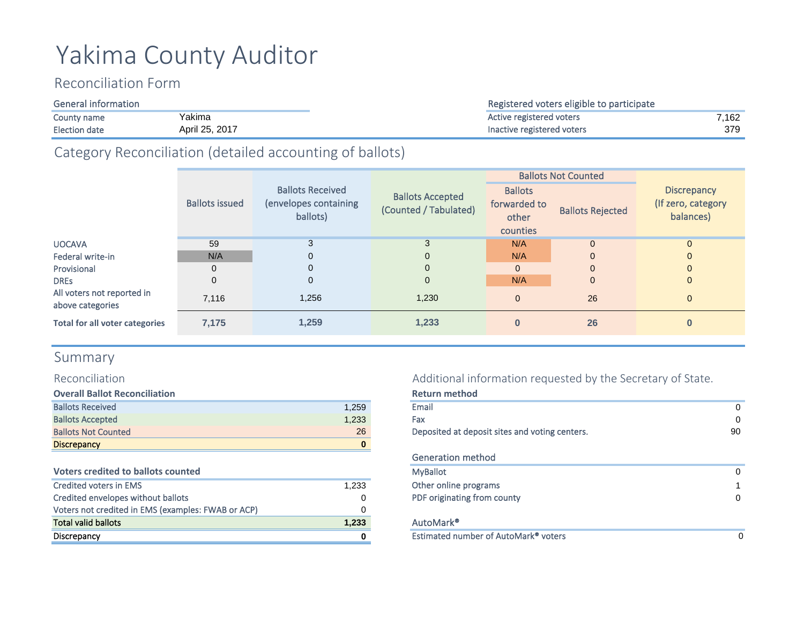# Yakima County Auditor

# Reconciliation Form

| General information             |
|---------------------------------|
| Yakima<br>County name           |
| April 25, 2017<br>Election date |

# Category Reconciliation (detailed accounting of ballots)

|                                                |                       |                                                              |                                                  |                                                     | <b>Ballots Not Counted</b> |                                                       |
|------------------------------------------------|-----------------------|--------------------------------------------------------------|--------------------------------------------------|-----------------------------------------------------|----------------------------|-------------------------------------------------------|
|                                                | <b>Ballots issued</b> | <b>Ballots Received</b><br>(envelopes containing<br>ballots) | <b>Ballots Accepted</b><br>(Counted / Tabulated) | <b>Ballots</b><br>forwarded to<br>other<br>counties | <b>Ballots Rejected</b>    | <b>Discrepancy</b><br>(If zero, category<br>balances) |
| <b>UOCAVA</b>                                  | 59                    | 3                                                            | 3                                                | N/A                                                 | $\mathbf{0}$               | $\overline{0}$                                        |
| Federal write-in                               | N/A                   |                                                              | $\mathbf 0$                                      | N/A                                                 | $\mathbf{0}$               | $\mathbf{0}$                                          |
| Provisional                                    | $\Omega$              |                                                              | $\mathbf 0$                                      | $\mathbf{0}$                                        | $\mathbf{0}$               | $\Omega$                                              |
| <b>DREs</b>                                    | $\mathbf 0$           | 0                                                            | $\mathbf 0$                                      | N/A                                                 | $\mathbf{0}$               | $\mathbf{0}$                                          |
| All voters not reported in<br>above categories | 7,116                 | 1,256                                                        | 1,230                                            | 0                                                   | 26                         | $\overline{0}$                                        |
| <b>Total for all voter categories</b>          | 7,175                 | 1,259                                                        | 1,233                                            | $\bf{0}$                                            | 26                         | $\bf{0}$                                              |

# Summary

### Reconciliation

| <b>Overall Ballot Reconciliation</b> |       |
|--------------------------------------|-------|
| <b>Ballots Received</b>              | 1.259 |
| <b>Ballots Accepted</b>              | 1,233 |
| <b>Ballots Not Counted</b>           | 26    |
| <b>Discrepancy</b>                   |       |

#### **Voters credited to ballots counted**

| Credited voters in EMS                             | 1.233 | Other online programs       |
|----------------------------------------------------|-------|-----------------------------|
| Credited envelopes without ballots                 | 0     | PDF originating from county |
| Voters not credited in EMS (examples: FWAB or ACP) |       |                             |
| <b>Total valid ballots</b>                         | 1,233 | AutoMark <sup>®</sup>       |
| Discrepancy                                        |       | Estimated number of AutoM   |

## Additional information requested by the Secretary of State.

| <b>Overall Ballot Reconciliation</b>               |          | <b>Return method</b>                             |              |
|----------------------------------------------------|----------|--------------------------------------------------|--------------|
| <b>Ballots Received</b>                            | 1.259    | Email                                            | $\mathbf{0}$ |
| <b>Ballots Accepted</b>                            | 1,233    | Fax                                              | 0            |
| <b>Ballots Not Counted</b>                         | 26       | Deposited at deposit sites and voting centers.   | 90           |
| <b>Discrepancy</b>                                 | $\bf{0}$ |                                                  |              |
|                                                    |          | <b>Generation method</b>                         |              |
| <b>Voters credited to ballots counted</b>          |          | <b>MyBallot</b>                                  | 0            |
| Credited voters in EMS                             | 1.233    | Other online programs                            |              |
| Credited envelopes without ballots                 |          | PDF originating from county                      | 0            |
| Voters not credited in EMS (examples: FWAB or ACP) |          |                                                  |              |
| Total valid ballots                                | 1,233    | AutoMark <sup>®</sup>                            |              |
| <b>Discrepancy</b>                                 |          | Estimated number of AutoMark <sup>®</sup> voters | 0            |
|                                                    |          |                                                  |              |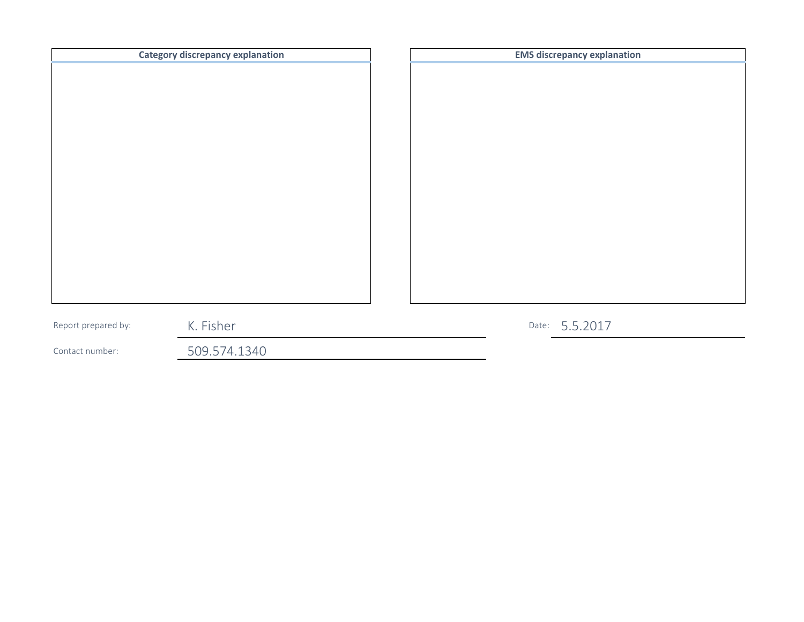|                     | <b>Category discrepancy explanation</b> |  | <b>EMS discrepancy explanation</b> |
|---------------------|-----------------------------------------|--|------------------------------------|
|                     |                                         |  |                                    |
|                     |                                         |  |                                    |
|                     |                                         |  |                                    |
|                     |                                         |  |                                    |
|                     |                                         |  |                                    |
|                     |                                         |  |                                    |
|                     |                                         |  |                                    |
|                     |                                         |  |                                    |
|                     |                                         |  |                                    |
|                     |                                         |  |                                    |
|                     |                                         |  |                                    |
|                     |                                         |  |                                    |
|                     |                                         |  |                                    |
|                     |                                         |  |                                    |
| Report prepared by: | K. Fisher                               |  | Date: 5.5.2017                     |
| Contact number:     | 509.574.1340                            |  |                                    |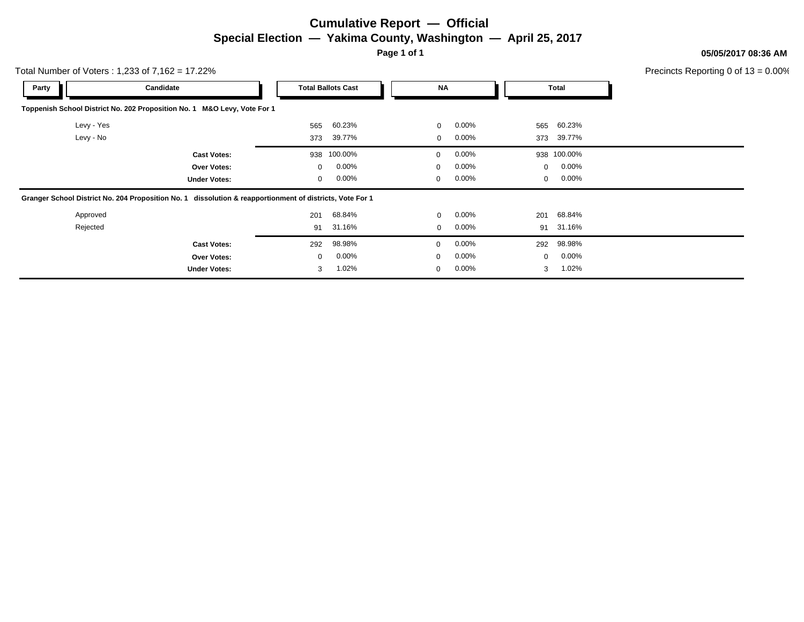## **Cumulative Report — Official Special Election — Yakima County, Washington — April 25, 2017**

**Page 1 of 1**

**05/05/2017 08:36 AM**

| Precincts Reporting 0 of $13 = 0.00\%$ |  |
|----------------------------------------|--|
|----------------------------------------|--|

| Total Number of Voters: $1,233$ of $7,162 = 17.22\%$ |                                                                                                          |              |                           |             |          |              |             | Precincts Reporting 0 |
|------------------------------------------------------|----------------------------------------------------------------------------------------------------------|--------------|---------------------------|-------------|----------|--------------|-------------|-----------------------|
| Party                                                | Candidate                                                                                                |              | <b>Total Ballots Cast</b> | ΝA          |          |              | Total       |                       |
|                                                      | Toppenish School District No. 202 Proposition No. 1 M&O Levy, Vote For 1                                 |              |                           |             |          |              |             |                       |
| Levy - Yes                                           |                                                                                                          | 565          | 60.23%                    | 0           | $0.00\%$ | 565          | 60.23%      |                       |
| Levy - No                                            |                                                                                                          | 373          | 39.77%                    | 0           | $0.00\%$ | 373          | 39.77%      |                       |
|                                                      | <b>Cast Votes:</b>                                                                                       | 938          | 100.00%                   | $\mathbf 0$ | $0.00\%$ |              | 938 100.00% |                       |
|                                                      | Over Votes:                                                                                              | $\Omega$     | $0.00\%$                  | 0           | $0.00\%$ | $\mathbf{0}$ | $0.00\%$    |                       |
|                                                      | <b>Under Votes:</b>                                                                                      | $\mathbf{0}$ | $0.00\%$                  | 0           | $0.00\%$ | $\mathbf{0}$ | $0.00\%$    |                       |
|                                                      | Granger School District No. 204 Proposition No. 1 dissolution & reapportionment of districts, Vote For 1 |              |                           |             |          |              |             |                       |
| Approved                                             |                                                                                                          | 201          | 68.84%                    | 0           | $0.00\%$ | 201          | 68.84%      |                       |
| Rejected                                             |                                                                                                          | 91           | 31.16%                    | $\mathbf 0$ | $0.00\%$ | 91           | 31.16%      |                       |
|                                                      | <b>Cast Votes:</b>                                                                                       | 292          | 98.98%                    | 0           | $0.00\%$ | 292          | 98.98%      |                       |
|                                                      | Over Votes:                                                                                              | $\mathbf{0}$ | $0.00\%$                  | 0           | $0.00\%$ | $\mathbf{0}$ | $0.00\%$    |                       |
|                                                      | <b>Under Votes:</b>                                                                                      | 3            | 1.02%                     | 0           | $0.00\%$ | 3            | 1.02%       |                       |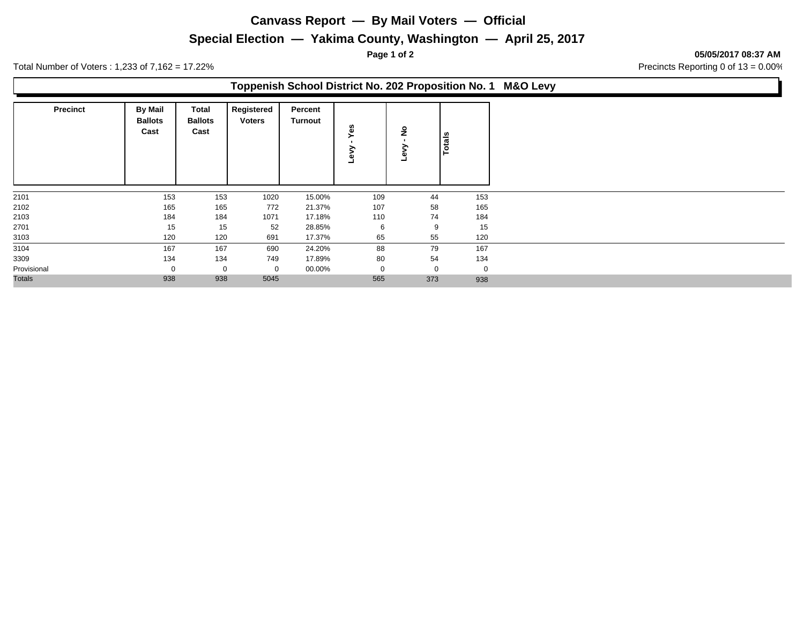## **Canvass Report — By Mail Voters — Official**

#### **Special Election — Yakima County, Washington — April 25, 2017**

**Page 1 of 2 05/05/2017 08:37 AM**

Total Number of Voters : 1,233 of 7,162 = 17.22% Total Number of Voters : 1,233 of 7,162 = 17.22%

#### **Toppenish School District No. 202 Proposition No. 1 M&O Levy**

| <b>Precinct</b> | <b>By Mail</b><br><b>Ballots</b><br>Cast | Total<br><b>Ballots</b><br>Cast | Registered<br><b>Voters</b> | Percent<br>Turnout | w<br>Φ<br>ω | $\frac{1}{2}$ | Totals       |
|-----------------|------------------------------------------|---------------------------------|-----------------------------|--------------------|-------------|---------------|--------------|
| 2101            | 153                                      | 153                             | 1020                        | 15.00%             | 109         | 44            | 153          |
| 2102            | 165                                      | 165                             | 772                         | 21.37%             | 107         | 58            | 165          |
| 2103            | 184                                      | 184                             | 1071                        | 17.18%             | 110         | 74            | 184          |
| 2701            | 15                                       | 15                              | 52                          | 28.85%             | 6           | 9             | 15           |
| 3103            | 120                                      | 120                             | 691                         | 17.37%             | 65          | 55            | 120          |
| 3104            | 167                                      | 167                             | 690                         | 24.20%             | 88          | 79            | 167          |
| 3309            | 134                                      | 134                             | 749                         | 17.89%             | 80          | 54            | 134          |
| Provisional     | $\Omega$                                 | $\mathbf 0$                     | $\mathbf 0$                 | 00.00%             | $\mathbf 0$ |               | $\mathbf{0}$ |
| <b>Totals</b>   | 938                                      | 938                             | 5045                        |                    | 565         | 373           | 938          |